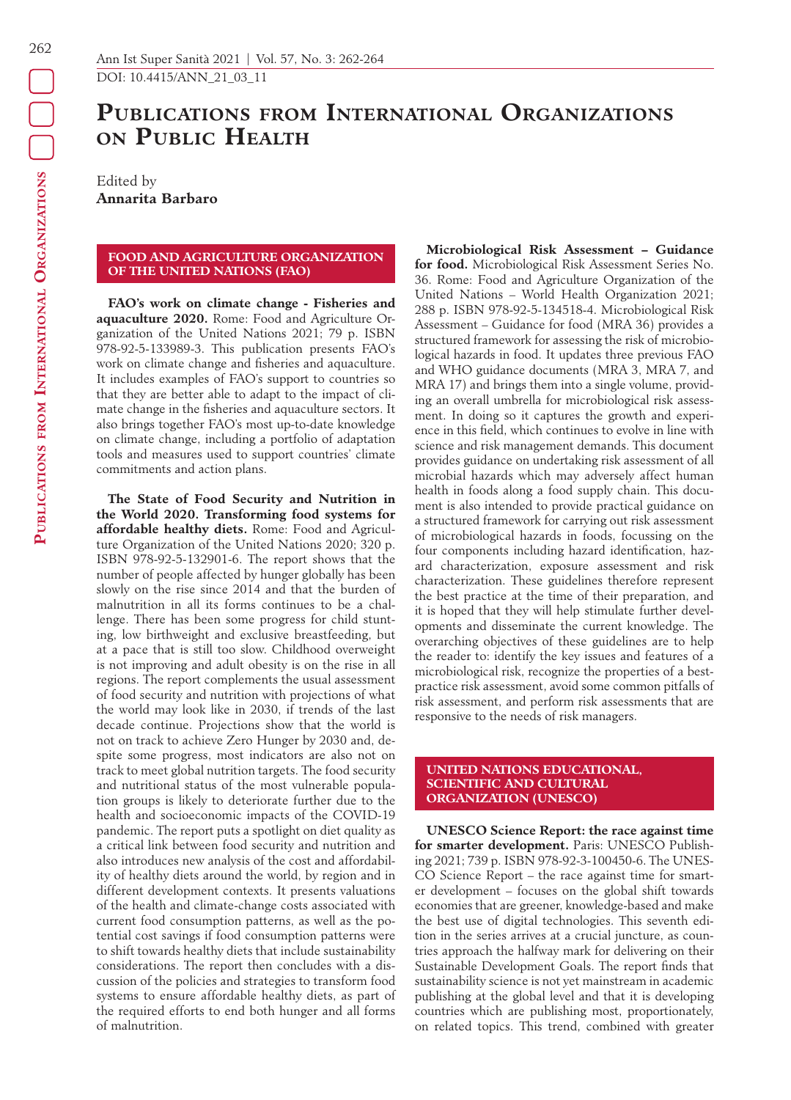**Publications from International**

PUBLICATIONS FROM INTERNATIONAL ORGANIZATIONS

**Organizations**

# **Publications from International Organizations on Public Health**

Edited by **Annarita Barbaro**

## **FOOD AND AGRICULTURE ORGANIZATION OF THE UNITED NATIONS (FAO)**

**FAO's work on climate change - Fisheries and aquaculture 2020.** Rome: Food and Agriculture Organization of the United Nations 2021; 79 p. ISBN 978-92-5-133989-3. This publication presents FAO's work on climate change and fisheries and aquaculture. It includes examples of FAO's support to countries so that they are better able to adapt to the impact of climate change in the fisheries and aquaculture sectors. It also brings together FAO's most up-to-date knowledge on climate change, including a portfolio of adaptation tools and measures used to support countries' climate commitments and action plans.

**The State of Food Security and Nutrition in the World 2020. Transforming food systems for affordable healthy diets.** Rome: Food and Agriculture Organization of the United Nations 2020; 320 p. ISBN 978-92-5-132901-6. The report shows that the number of people affected by hunger globally has been slowly on the rise since 2014 and that the burden of malnutrition in all its forms continues to be a challenge. There has been some progress for child stunting, low birthweight and exclusive breastfeeding, but at a pace that is still too slow. Childhood overweight is not improving and adult obesity is on the rise in all regions. The report complements the usual assessment of food security and nutrition with projections of what the world may look like in 2030, if trends of the last decade continue. Projections show that the world is not on track to achieve Zero Hunger by 2030 and, despite some progress, most indicators are also not on track to meet global nutrition targets. The food security and nutritional status of the most vulnerable population groups is likely to deteriorate further due to the health and socioeconomic impacts of the COVID-19 pandemic. The report puts a spotlight on diet quality as a critical link between food security and nutrition and also introduces new analysis of the cost and affordability of healthy diets around the world, by region and in different development contexts. It presents valuations of the health and climate-change costs associated with current food consumption patterns, as well as the potential cost savings if food consumption patterns were to shift towards healthy diets that include sustainability considerations. The report then concludes with a discussion of the policies and strategies to transform food systems to ensure affordable healthy diets, as part of the required efforts to end both hunger and all forms of malnutrition.

**Microbiological Risk Assessment – Guidance for food.** Microbiological Risk Assessment Series No. 36. Rome: Food and Agriculture Organization of the United Nations – World Health Organization 2021; 288 p. ISBN 978-92-5-134518-4. Microbiological Risk Assessment – Guidance for food (MRA 36) provides a structured framework for assessing the risk of microbiological hazards in food. It updates three previous FAO and WHO guidance documents (MRA 3, MRA 7, and MRA 17) and brings them into a single volume, providing an overall umbrella for microbiological risk assessment. In doing so it captures the growth and experience in this field, which continues to evolve in line with science and risk management demands. This document provides guidance on undertaking risk assessment of all microbial hazards which may adversely affect human health in foods along a food supply chain. This document is also intended to provide practical guidance on a structured framework for carrying out risk assessment of microbiological hazards in foods, focussing on the four components including hazard identification, hazard characterization, exposure assessment and risk characterization. These guidelines therefore represent the best practice at the time of their preparation, and it is hoped that they will help stimulate further developments and disseminate the current knowledge. The overarching objectives of these guidelines are to help the reader to: identify the key issues and features of a microbiological risk, recognize the properties of a bestpractice risk assessment, avoid some common pitfalls of risk assessment, and perform risk assessments that are responsive to the needs of risk managers.

#### **UNITED NATIONS EDUCATIONAL, SCIENTIFIC AND CULTURAL ORGANIZATION (UNESCO)**

**UNESCO Science Report: the race against time for smarter development.** Paris: UNESCO Publishing 2021; 739 p. ISBN 978-92-3-100450-6. The UNES-CO Science Report – the race against time for smarter development – focuses on the global shift towards economies that are greener, knowledge-based and make the best use of digital technologies. This seventh edition in the series arrives at a crucial juncture, as countries approach the halfway mark for delivering on their Sustainable Development Goals. The report finds that sustainability science is not yet mainstream in academic publishing at the global level and that it is developing countries which are publishing most, proportionately, on related topics. This trend, combined with greater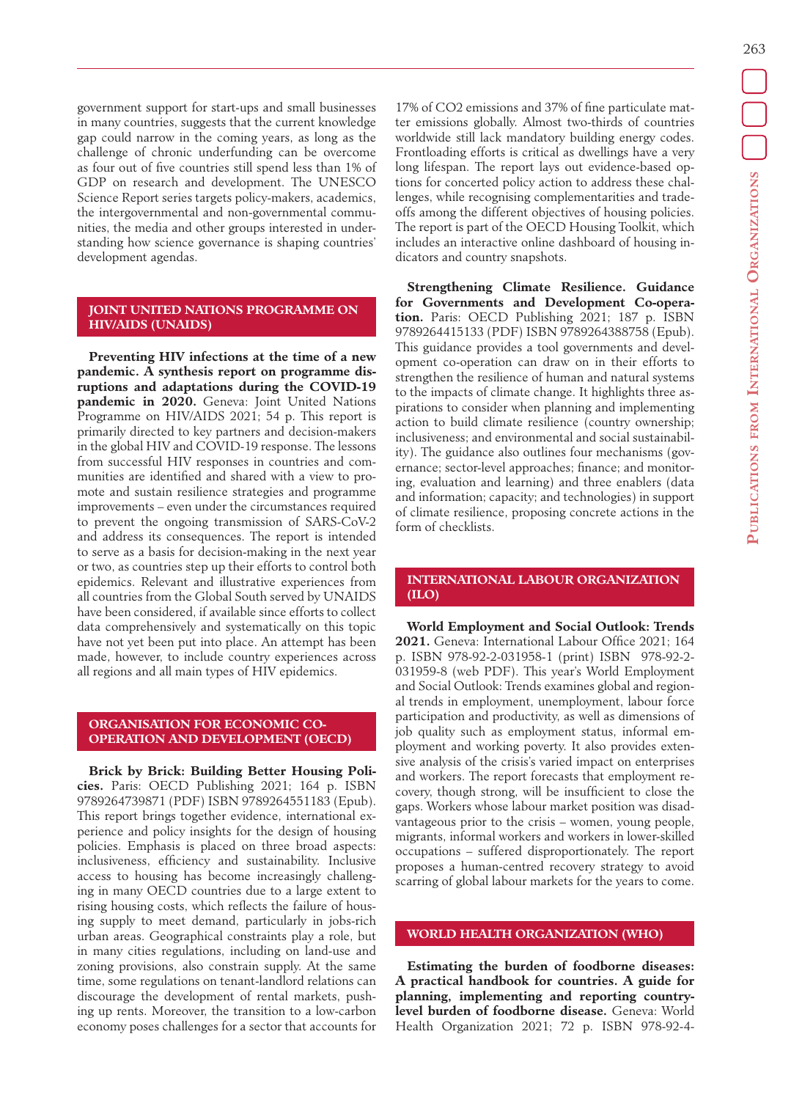263

government support for start-ups and small businesses in many countries, suggests that the current knowledge gap could narrow in the coming years, as long as the challenge of chronic underfunding can be overcome as four out of five countries still spend less than 1% of GDP on research and development. The UNESCO Science Report series targets policy-makers, academics, the intergovernmental and non-governmental communities, the media and other groups interested in understanding how science governance is shaping countries' development agendas.

## **JOINT UNITED NATIONS PROGRAMME ON HIV/AIDS (UNAIDS)**

**Preventing HIV infections at the time of a new pandemic. A synthesis report on programme disruptions and adaptations during the COVID-19 pandemic in 2020.** Geneva: Joint United Nations Programme on HIV/AIDS 2021; 54 p. This report is primarily directed to key partners and decision-makers in the global HIV and COVID-19 response. The lessons from successful HIV responses in countries and communities are identified and shared with a view to promote and sustain resilience strategies and programme improvements – even under the circumstances required to prevent the ongoing transmission of SARS-CoV-2 and address its consequences. The report is intended to serve as a basis for decision-making in the next year or two, as countries step up their efforts to control both epidemics. Relevant and illustrative experiences from all countries from the Global South served by UNAIDS have been considered, if available since efforts to collect data comprehensively and systematically on this topic have not yet been put into place. An attempt has been made, however, to include country experiences across all regions and all main types of HIV epidemics.

## **ORGANISATION FOR ECONOMIC CO-OPERATION AND DEVELOPMENT (OECD)**

**Brick by Brick: Building Better Housing Policies.** Paris: OECD Publishing 2021; 164 p. ISBN 9789264739871 (PDF) ISBN 9789264551183 (Epub). This report brings together evidence, international experience and policy insights for the design of housing policies. Emphasis is placed on three broad aspects: inclusiveness, efficiency and sustainability. Inclusive access to housing has become increasingly challenging in many OECD countries due to a large extent to rising housing costs, which reflects the failure of housing supply to meet demand, particularly in jobs-rich urban areas. Geographical constraints play a role, but in many cities regulations, including on land-use and zoning provisions, also constrain supply. At the same time, some regulations on tenant-landlord relations can discourage the development of rental markets, pushing up rents. Moreover, the transition to a low-carbon economy poses challenges for a sector that accounts for 17% of CO2 emissions and 37% of fine particulate matter emissions globally. Almost two-thirds of countries worldwide still lack mandatory building energy codes. Frontloading efforts is critical as dwellings have a very long lifespan. The report lays out evidence-based options for concerted policy action to address these challenges, while recognising complementarities and tradeoffs among the different objectives of housing policies. The report is part of the OECD Housing Toolkit, which includes an interactive online dashboard of housing indicators and country snapshots.

**Strengthening Climate Resilience. Guidance for Governments and Development Co-operation.** Paris: OECD Publishing 2021; 187 p. ISBN 9789264415133 (PDF) ISBN 9789264388758 (Epub). This guidance provides a tool governments and development co-operation can draw on in their efforts to strengthen the resilience of human and natural systems to the impacts of climate change. It highlights three aspirations to consider when planning and implementing action to build climate resilience (country ownership; inclusiveness; and environmental and social sustainability). The guidance also outlines four mechanisms (governance; sector-level approaches; finance; and monitoring, evaluation and learning) and three enablers (data and information; capacity; and technologies) in support of climate resilience, proposing concrete actions in the form of checklists.

### **INTERNATIONAL LABOUR ORGANIZATION (ILO)**

**World Employment and Social Outlook: Trends 2021.** Geneva: International Labour Office 2021; 164 p. ISBN 978-92-2-031958-1 (print) ISBN 978-92-2- 031959-8 (web PDF). This year's World Employment and Social Outlook: Trends examines global and regional trends in employment, unemployment, labour force participation and productivity, as well as dimensions of job quality such as employment status, informal employment and working poverty. It also provides extensive analysis of the crisis's varied impact on enterprises and workers. The report forecasts that employment recovery, though strong, will be insufficient to close the gaps. Workers whose labour market position was disadvantageous prior to the crisis – women, young people, migrants, informal workers and workers in lower-skilled occupations – suffered disproportionately. The report proposes a human-centred recovery strategy to avoid scarring of global labour markets for the years to come.

#### **WORLD HEALTH ORGANIZATION (WHO)**

**Estimating the burden of foodborne diseases: A practical handbook for countries. A guide for planning, implementing and reporting countrylevel burden of foodborne disease.** Geneva: World Health Organization 2021; 72 p. ISBN 978-92-4